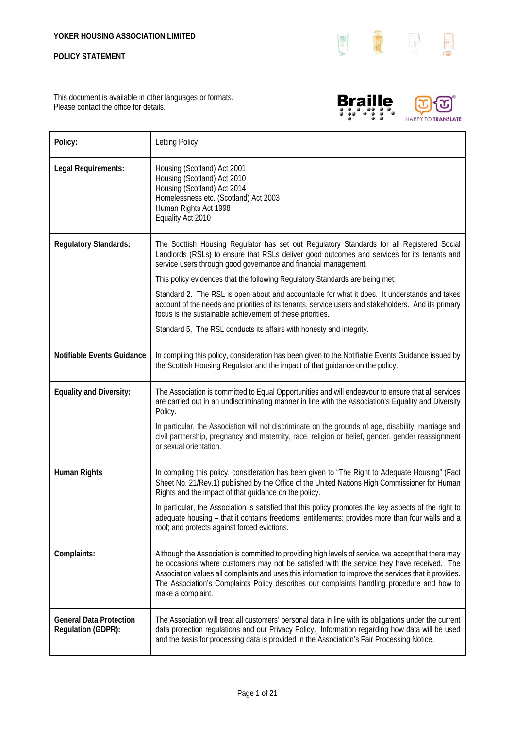

This document is available in other languages or formats. Please contact the office for details.





| Policy:                                              | Letting Policy                                                                                                                                                                                                                                                                                                                                                                                                                |
|------------------------------------------------------|-------------------------------------------------------------------------------------------------------------------------------------------------------------------------------------------------------------------------------------------------------------------------------------------------------------------------------------------------------------------------------------------------------------------------------|
| Legal Requirements:                                  | Housing (Scotland) Act 2001<br>Housing (Scotland) Act 2010<br>Housing (Scotland) Act 2014<br>Homelessness etc. (Scotland) Act 2003<br>Human Rights Act 1998<br>Equality Act 2010                                                                                                                                                                                                                                              |
| <b>Regulatory Standards:</b>                         | The Scottish Housing Regulator has set out Regulatory Standards for all Registered Social<br>Landlords (RSLs) to ensure that RSLs deliver good outcomes and services for its tenants and<br>service users through good governance and financial management.                                                                                                                                                                   |
|                                                      | This policy evidences that the following Regulatory Standards are being met:                                                                                                                                                                                                                                                                                                                                                  |
|                                                      | Standard 2. The RSL is open about and accountable for what it does. It understands and takes<br>account of the needs and priorities of its tenants, service users and stakeholders. And its primary<br>focus is the sustainable achievement of these priorities.                                                                                                                                                              |
|                                                      | Standard 5. The RSL conducts its affairs with honesty and integrity.                                                                                                                                                                                                                                                                                                                                                          |
| Notifiable Events Guidance                           | In compiling this policy, consideration has been given to the Notifiable Events Guidance issued by<br>the Scottish Housing Regulator and the impact of that guidance on the policy.                                                                                                                                                                                                                                           |
| <b>Equality and Diversity:</b>                       | The Association is committed to Equal Opportunities and will endeavour to ensure that all services<br>are carried out in an undiscriminating manner in line with the Association's Equality and Diversity<br>Policy.                                                                                                                                                                                                          |
|                                                      | In particular, the Association will not discriminate on the grounds of age, disability, marriage and<br>civil partnership, pregnancy and maternity, race, religion or belief, gender, gender reassignment<br>or sexual orientation.                                                                                                                                                                                           |
| <b>Human Rights</b>                                  | In compiling this policy, consideration has been given to "The Right to Adequate Housing" (Fact<br>Sheet No. 21/Rev.1) published by the Office of the United Nations High Commissioner for Human<br>Rights and the impact of that guidance on the policy.                                                                                                                                                                     |
|                                                      | In particular, the Association is satisfied that this policy promotes the key aspects of the right to<br>adequate housing - that it contains freedoms; entitlements; provides more than four walls and a<br>roof; and protects against forced evictions.                                                                                                                                                                      |
| Complaints:                                          | Although the Association is committed to providing high levels of service, we accept that there may<br>be occasions where customers may not be satisfied with the service they have received. The<br>Association values all complaints and uses this information to improve the services that it provides.<br>The Association's Complaints Policy describes our complaints handling procedure and how to<br>make a complaint. |
| <b>General Data Protection</b><br>Regulation (GDPR): | The Association will treat all customers' personal data in line with its obligations under the current<br>data protection regulations and our Privacy Policy. Information regarding how data will be used<br>and the basis for processing data is provided in the Association's Fair Processing Notice.                                                                                                                       |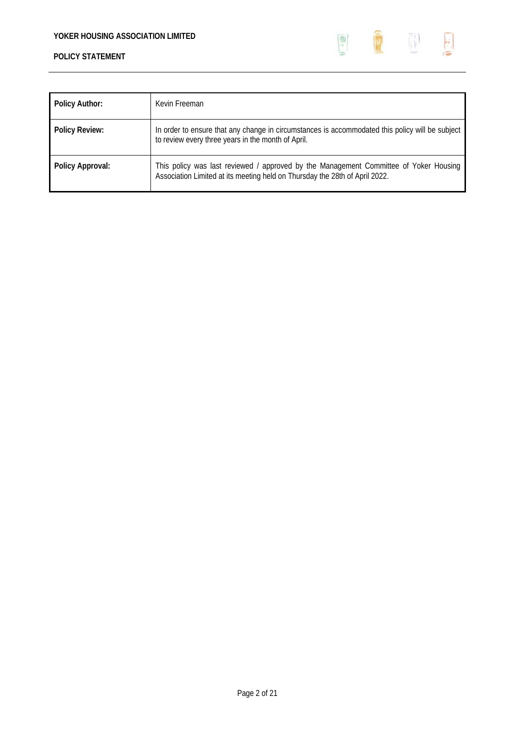

| <b>Policy Author:</b> | Kevin Freeman                                                                                                                                                        |
|-----------------------|----------------------------------------------------------------------------------------------------------------------------------------------------------------------|
| <b>Policy Review:</b> | In order to ensure that any change in circumstances is accommodated this policy will be subject<br>to review every three years in the month of April.                |
| Policy Approval:      | This policy was last reviewed / approved by the Management Committee of Yoker Housing<br>Association Limited at its meeting held on Thursday the 28th of April 2022. |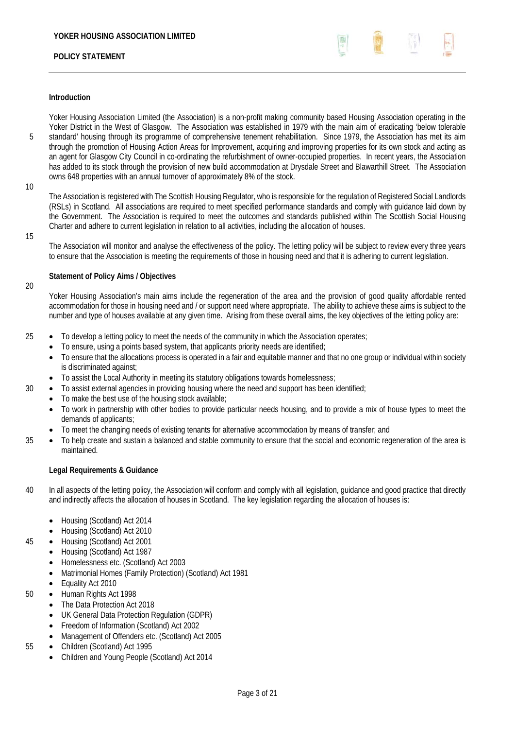

### **Introduction**

Yoker Housing Association Limited (the Association) is a non-profit making community based Housing Association operating in the Yoker District in the West of Glasgow. The Association was established in 1979 with the main aim of eradicating 'below tolerable 5 Standard' housing through its programme of comprehensive tenement rehabilitation. Since 1979, the Association has met its aim through the promotion of Housing Action Areas for Improvement, acquiring and improving properties for its own stock and acting as an agent for Glasgow City Council in co-ordinating the refurbishment of owner-occupied properties. In recent years, the Association has added to its stock through the provision of new build accommodation at Drysdale Street and Blawarthill Street. The Association owns 648 properties with an annual turnover of approximately 8% of the stock.

10

The Association is registered with The Scottish Housing Regulator, who is responsible for the regulation of Registered Social Landlords (RSLs) in Scotland. All associations are required to meet specified performance standards and comply with guidance laid down by the Government. The Association is required to meet the outcomes and standards published within The Scottish Social Housing Charter and adhere to current legislation in relation to all activities, including the allocation of houses.

15

20

The Association will monitor and analyse the effectiveness of the policy. The letting policy will be subject to review every three years to ensure that the Association is meeting the requirements of those in housing need and that it is adhering to current legislation.

### **Statement of Policy Aims / Objectives**

Yoker Housing Association's main aims include the regeneration of the area and the provision of good quality affordable rented accommodation for those in housing need and / or support need where appropriate. The ability to achieve these aims is subject to the number and type of houses available at any given time. Arising from these overall aims, the key objectives of the letting policy are:

## 25 **•** To develop a letting policy to meet the needs of the community in which the Association operates;

- To ensure, using a points based system, that applicants priority needs are identified;
- To ensure that the allocations process is operated in a fair and equitable manner and that no one group or individual within society is discriminated against;
- To assist the Local Authority in meeting its statutory obligations towards homelessness;
- $30$   $\bullet$  To assist external agencies in providing housing where the need and support has been identified;
	- To make the best use of the housing stock available;
	- To work in partnership with other bodies to provide particular needs housing, and to provide a mix of house types to meet the demands of applicants;
	- To meet the changing needs of existing tenants for alternative accommodation by means of transfer; and
- **To help create and sustain a balanced and stable community to ensure that the social and economic regeneration of the area is** maintained.

### **Legal Requirements & Guidance**

- 40 In all aspects of the letting policy, the Association will conform and comply with all legislation, guidance and good practice that directly and indirectly affects the allocation of houses in Scotland. The key legislation regarding the allocation of houses is:
	- Housing (Scotland) Act 2014
	- Housing (Scotland) Act 2010
- 45 **•** Housing (Scotland) Act 2001
	- Housing (Scotland) Act 1987
	- Homelessness etc. (Scotland) Act 2003
	- Matrimonial Homes (Family Protection) (Scotland) Act 1981
	- Equality Act 2010
- 50 **•** Human Rights Act 1998
	- The Data Protection Act 2018
	- UK General Data Protection Regulation (GDPR)
	- Freedom of Information (Scotland) Act 2002
	- Management of Offenders etc. (Scotland) Act 2005
- 55 Children (Scotland) Act 1995
	- Children and Young People (Scotland) Act 2014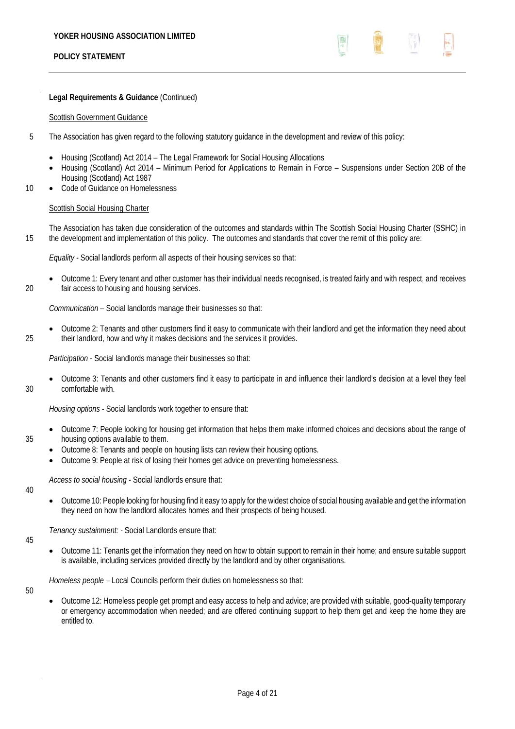

|    | Legal Requirements & Guidance (Continued)                                                                                                                                                                                                                                                                                                             |
|----|-------------------------------------------------------------------------------------------------------------------------------------------------------------------------------------------------------------------------------------------------------------------------------------------------------------------------------------------------------|
|    | <b>Scottish Government Guidance</b>                                                                                                                                                                                                                                                                                                                   |
| 5  | The Association has given regard to the following statutory guidance in the development and review of this policy:                                                                                                                                                                                                                                    |
| 10 | Housing (Scotland) Act 2014 - The Legal Framework for Social Housing Allocations<br>Housing (Scotland) Act 2014 - Minimum Period for Applications to Remain in Force - Suspensions under Section 20B of the<br>Housing (Scotland) Act 1987<br>Code of Guidance on Homelessness<br><b>Scottish Social Housing Charter</b>                              |
| 15 | The Association has taken due consideration of the outcomes and standards within The Scottish Social Housing Charter (SSHC) in<br>the development and implementation of this policy. The outcomes and standards that cover the remit of this policy are:                                                                                              |
|    | Equality - Social landlords perform all aspects of their housing services so that:                                                                                                                                                                                                                                                                    |
| 20 | Outcome 1: Every tenant and other customer has their individual needs recognised, is treated fairly and with respect, and receives<br>fair access to housing and housing services.                                                                                                                                                                    |
|    | Communication - Social landlords manage their businesses so that:                                                                                                                                                                                                                                                                                     |
| 25 | Outcome 2: Tenants and other customers find it easy to communicate with their landlord and get the information they need about<br>their landlord, how and why it makes decisions and the services it provides.                                                                                                                                        |
|    | Participation - Social landlords manage their businesses so that:                                                                                                                                                                                                                                                                                     |
| 30 | Outcome 3: Tenants and other customers find it easy to participate in and influence their landlord's decision at a level they feel<br>comfortable with.                                                                                                                                                                                               |
|    | Housing options - Social landlords work together to ensure that:                                                                                                                                                                                                                                                                                      |
| 35 | Outcome 7: People looking for housing get information that helps them make informed choices and decisions about the range of<br>housing options available to them.<br>Outcome 8: Tenants and people on housing lists can review their housing options.<br>٠<br>Outcome 9: People at risk of losing their homes get advice on preventing homelessness. |
|    | Access to social housing - Social landlords ensure that:                                                                                                                                                                                                                                                                                              |
| 40 | Outcome 10: People looking for housing find it easy to apply for the widest choice of social housing available and get the information<br>they need on how the landlord allocates homes and their prospects of being housed.                                                                                                                          |
|    | Tenancy sustainment: - Social Landlords ensure that:                                                                                                                                                                                                                                                                                                  |
| 45 | Outcome 11: Tenants get the information they need on how to obtain support to remain in their home; and ensure suitable support<br>is available, including services provided directly by the landlord and by other organisations.                                                                                                                     |
| 50 | Homeless people - Local Councils perform their duties on homelessness so that:                                                                                                                                                                                                                                                                        |
|    | Outcome 12: Homeless people get prompt and easy access to help and advice; are provided with suitable, good-quality temporary<br>or emergency accommodation when needed; and are offered continuing support to help them get and keep the home they are<br>entitled to.                                                                               |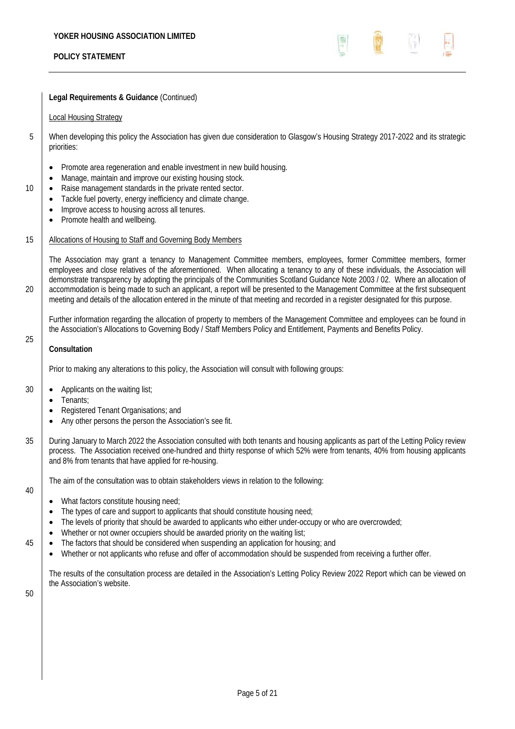**Legal Requirements & Guidance** (Continued)

#### Local Housing Strategy

- 5 When developing this policy the Association has given due consideration to Glasgow's Housing Strategy 2017-2022 and its strategic priorities:
	- Promote area regeneration and enable investment in new build housing.
	- Manage, maintain and improve our existing housing stock.
- 10 **•** Raise management standards in the private rented sector.
	- Tackle fuel poverty, energy inefficiency and climate change.
	- Improve access to housing across all tenures.
	- Promote health and wellbeing.

### 15 | Allocations of Housing to Staff and Governing Body Members

The Association may grant a tenancy to Management Committee members, employees, former Committee members, former employees and close relatives of the aforementioned. When allocating a tenancy to any of these individuals, the Association will demonstrate transparency by adopting the principals of the Communities Scotland Guidance Note 2003 / 02. Where an allocation of 20 accommodation is being made to such an applicant, a report will be presented to the Management Committee at the first subsequent meeting and details of the allocation entered in the minute of that meeting and recorded in a register designated for this purpose.

Further information regarding the allocation of property to members of the Management Committee and employees can be found in the Association's Allocations to Governing Body / Staff Members Policy and Entitlement, Payments and Benefits Policy.

#### **Consultation**

25

Prior to making any alterations to this policy, the Association will consult with following groups:

- 30 Applicants on the waiting list;
	- Tenants;
	- Registered Tenant Organisations; and
	- Any other persons the person the Association's see fit.
- 35 | During January to March 2022 the Association consulted with both tenants and housing applicants as part of the Letting Policy review process. The Association received one-hundred and thirty response of which 52% were from tenants, 40% from housing applicants and 8% from tenants that have applied for re-housing.

The aim of the consultation was to obtain stakeholders views in relation to the following:

- 40
- What factors constitute housing need;
- The types of care and support to applicants that should constitute housing need;
- The levels of priority that should be awarded to applicants who either under-occupy or who are overcrowded;
- Whether or not owner occupiers should be awarded priority on the waiting list;
- 45 **•** The factors that should be considered when suspending an application for housing; and
	- Whether or not applicants who refuse and offer of accommodation should be suspended from receiving a further offer.

The results of the consultation process are detailed in the Association's Letting Policy Review 2022 Report which can be viewed on the Association's website.

50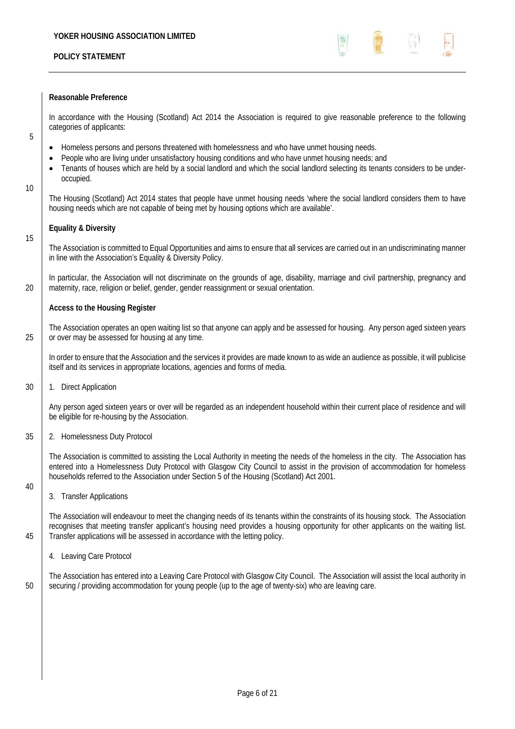

#### **Reasonable Preference**

In accordance with the Housing (Scotland) Act 2014 the Association is required to give reasonable preference to the following categories of applicants:

- 5
- Homeless persons and persons threatened with homelessness and who have unmet housing needs.
- People who are living under unsatisfactory housing conditions and who have unmet housing needs; and
- Tenants of houses which are held by a social landlord and which the social landlord selecting its tenants considers to be underoccupied.
- 10

15

40

The Housing (Scotland) Act 2014 states that people have unmet housing needs 'where the social landlord considers them to have housing needs which are not capable of being met by housing options which are available'.

#### **Equality & Diversity**

The Association is committed to Equal Opportunities and aims to ensure that all services are carried out in an undiscriminating manner in line with the Association's Equality & Diversity Policy.

In particular, the Association will not discriminate on the grounds of age, disability, marriage and civil partnership, pregnancy and 20 maternity, race, religion or belief, gender, gender reassignment or sexual orientation.

#### **Access to the Housing Register**

The Association operates an open waiting list so that anyone can apply and be assessed for housing. Any person aged sixteen years 25 or over may be assessed for housing at any time.

In order to ensure that the Association and the services it provides are made known to as wide an audience as possible, it will publicise itself and its services in appropriate locations, agencies and forms of media.

30 1. Direct Application

Any person aged sixteen years or over will be regarded as an independent household within their current place of residence and will be eligible for re-housing by the Association.

#### 35 2. Homelessness Duty Protocol

The Association is committed to assisting the Local Authority in meeting the needs of the homeless in the city. The Association has entered into a Homelessness Duty Protocol with Glasgow City Council to assist in the provision of accommodation for homeless households referred to the Association under Section 5 of the Housing (Scotland) Act 2001.

3. Transfer Applications

The Association will endeavour to meet the changing needs of its tenants within the constraints of its housing stock. The Association recognises that meeting transfer applicant's housing need provides a housing opportunity for other applicants on the waiting list. 45 Transfer applications will be assessed in accordance with the letting policy.

4. Leaving Care Protocol

The Association has entered into a Leaving Care Protocol with Glasgow City Council. The Association will assist the local authority in 50 securing / providing accommodation for young people (up to the age of twenty-six) who are leaving care.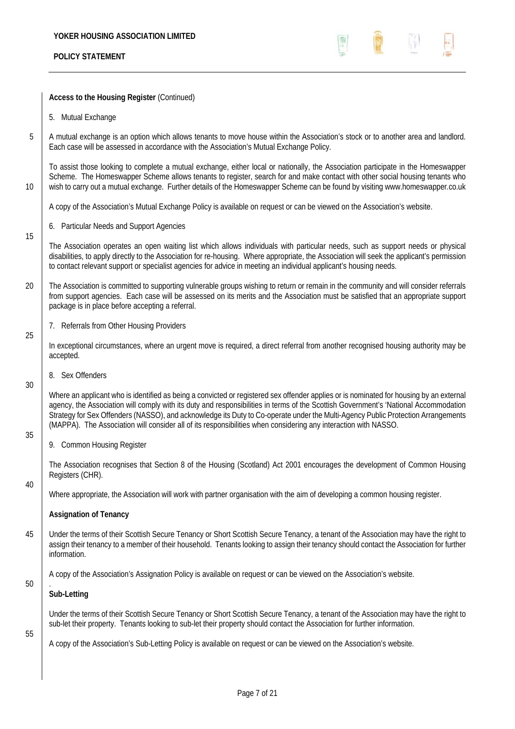$\begin{pmatrix} 1 & 0 & 0 \\ 0 & 1 & 0 \\ 0 & 0 & 0 \\ 0 & 0 & 0 \\ 0 & 0 & 0 \\ 0 & 0 & 0 \\ 0 & 0 & 0 & 0 \\ 0 & 0 & 0 & 0 \\ 0 & 0 & 0 & 0 \\ 0 & 0 & 0 & 0 & 0 \\ 0 & 0 & 0 & 0 & 0 \\ 0 & 0 & 0 & 0 & 0 \\ 0 & 0 & 0 & 0 & 0 & 0 \\ 0 & 0 & 0 & 0 & 0 & 0 \\ 0 & 0 & 0 & 0 & 0 & 0 & 0 \\ 0 & 0 & 0 & 0 & 0 & 0 & 0 \\$  $\begin{pmatrix} 0 & 0 \\ 0 & 0 \\ 0 & 0 \end{pmatrix}$ 国子  $\frac{1}{\left(1-\frac{1}{2}\right)^{2}}$ 

|    | Access to the Housing Register (Continued)                                                                                                                                                                                                                                                                                                                                                                                                                                                                                             |
|----|----------------------------------------------------------------------------------------------------------------------------------------------------------------------------------------------------------------------------------------------------------------------------------------------------------------------------------------------------------------------------------------------------------------------------------------------------------------------------------------------------------------------------------------|
|    | 5. Mutual Exchange                                                                                                                                                                                                                                                                                                                                                                                                                                                                                                                     |
| 5  | A mutual exchange is an option which allows tenants to move house within the Association's stock or to another area and landlord.<br>Each case will be assessed in accordance with the Association's Mutual Exchange Policy.                                                                                                                                                                                                                                                                                                           |
| 10 | To assist those looking to complete a mutual exchange, either local or nationally, the Association participate in the Homeswapper<br>Scheme. The Homeswapper Scheme allows tenants to register, search for and make contact with other social housing tenants who<br>wish to carry out a mutual exchange. Further details of the Homeswapper Scheme can be found by visiting www.homeswapper.co.uk                                                                                                                                     |
|    | A copy of the Association's Mutual Exchange Policy is available on request or can be viewed on the Association's website.                                                                                                                                                                                                                                                                                                                                                                                                              |
| 15 | 6. Particular Needs and Support Agencies                                                                                                                                                                                                                                                                                                                                                                                                                                                                                               |
|    | The Association operates an open waiting list which allows individuals with particular needs, such as support needs or physical<br>disabilities, to apply directly to the Association for re-housing. Where appropriate, the Association will seek the applicant's permission<br>to contact relevant support or specialist agencies for advice in meeting an individual applicant's housing needs.                                                                                                                                     |
| 20 | The Association is committed to supporting vulnerable groups wishing to return or remain in the community and will consider referrals<br>from support agencies. Each case will be assessed on its merits and the Association must be satisfied that an appropriate support<br>package is in place before accepting a referral.                                                                                                                                                                                                         |
|    | 7. Referrals from Other Housing Providers                                                                                                                                                                                                                                                                                                                                                                                                                                                                                              |
| 25 | In exceptional circumstances, where an urgent move is required, a direct referral from another recognised housing authority may be<br>accepted.                                                                                                                                                                                                                                                                                                                                                                                        |
|    | 8. Sex Offenders                                                                                                                                                                                                                                                                                                                                                                                                                                                                                                                       |
| 30 | Where an applicant who is identified as being a convicted or registered sex offender applies or is nominated for housing by an external<br>agency, the Association will comply with its duty and responsibilities in terms of the Scottish Government's 'National Accommodation<br>Strategy for Sex Offenders (NASSO), and acknowledge its Duty to Co-operate under the Multi-Agency Public Protection Arrangements<br>(MAPPA). The Association will consider all of its responsibilities when considering any interaction with NASSO. |
| 35 | 9. Common Housing Register                                                                                                                                                                                                                                                                                                                                                                                                                                                                                                             |
|    | The Association recognises that Section 8 of the Housing (Scotland) Act 2001 encourages the development of Common Housing<br>Registers (CHR).                                                                                                                                                                                                                                                                                                                                                                                          |
| 40 | Where appropriate, the Association will work with partner organisation with the aim of developing a common housing register.                                                                                                                                                                                                                                                                                                                                                                                                           |
|    | <b>Assignation of Tenancy</b>                                                                                                                                                                                                                                                                                                                                                                                                                                                                                                          |
| 45 | Under the terms of their Scottish Secure Tenancy or Short Scottish Secure Tenancy, a tenant of the Association may have the right to<br>assign their tenancy to a member of their household. Tenants looking to assign their tenancy should contact the Association for further<br>information.                                                                                                                                                                                                                                        |
| 50 | A copy of the Association's Assignation Policy is available on request or can be viewed on the Association's website.                                                                                                                                                                                                                                                                                                                                                                                                                  |
|    | Sub-Letting                                                                                                                                                                                                                                                                                                                                                                                                                                                                                                                            |
|    | Under the terms of their Scottish Secure Tenancy or Short Scottish Secure Tenancy, a tenant of the Association may have the right to<br>sub-let their property. Tenants looking to sub-let their property should contact the Association for further information.                                                                                                                                                                                                                                                                      |
| 55 | A copy of the Association's Sub-Letting Policy is available on request or can be viewed on the Association's website.                                                                                                                                                                                                                                                                                                                                                                                                                  |
|    |                                                                                                                                                                                                                                                                                                                                                                                                                                                                                                                                        |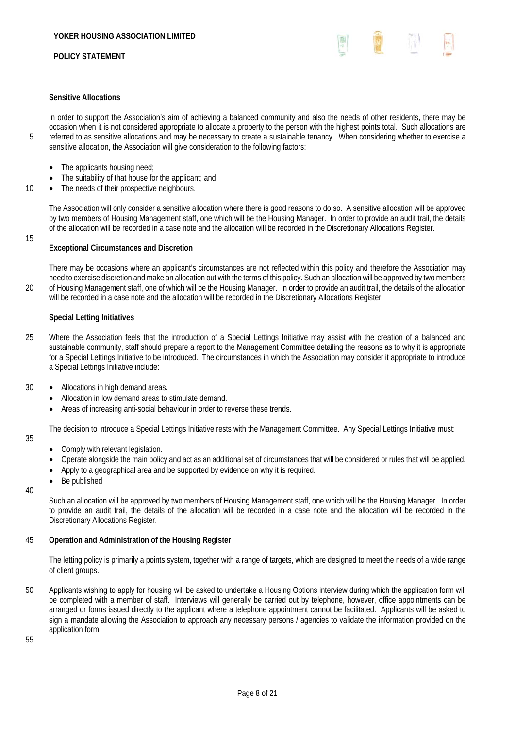

### **Sensitive Allocations**

In order to support the Association's aim of achieving a balanced community and also the needs of other residents, there may be occasion when it is not considered appropriate to allocate a property to the person with the highest points total. Such allocations are 5 referred to as sensitive allocations and may be necessary to create a sustainable tenancy. When considering whether to exercise a sensitive allocation, the Association will give consideration to the following factors:

- The applicants housing need;
- The suitability of that house for the applicant; and
- 10 **•** The needs of their prospective neighbours.

The Association will only consider a sensitive allocation where there is good reasons to do so. A sensitive allocation will be approved by two members of Housing Management staff, one which will be the Housing Manager. In order to provide an audit trail, the details of the allocation will be recorded in a case note and the allocation will be recorded in the Discretionary Allocations Register.

#### **Exceptional Circumstances and Discretion**

There may be occasions where an applicant's circumstances are not reflected within this policy and therefore the Association may need to exercise discretion and make an allocation out with the terms of this policy. Such an allocation will be approved by two members 20 of Housing Management staff, one of which will be the Housing Manager. In order to provide an audit trail, the details of the allocation will be recorded in a case note and the allocation will be recorded in the Discretionary Allocations Register.

#### **Special Letting Initiatives**

15

35

40

- 25 Where the Association feels that the introduction of a Special Lettings Initiative may assist with the creation of a balanced and sustainable community, staff should prepare a report to the Management Committee detailing the reasons as to why it is appropriate for a Special Lettings Initiative to be introduced. The circumstances in which the Association may consider it appropriate to introduce a Special Lettings Initiative include:
- 30 **•** Allocations in high demand areas.
	- Allocation in low demand areas to stimulate demand.
	- Areas of increasing anti-social behaviour in order to reverse these trends.

The decision to introduce a Special Lettings Initiative rests with the Management Committee. Any Special Lettings Initiative must:

- Comply with relevant legislation.
- Operate alongside the main policy and act as an additional set of circumstances that will be considered or rules that will be applied.
- Apply to a geographical area and be supported by evidence on why it is required.
- Be published

Such an allocation will be approved by two members of Housing Management staff, one which will be the Housing Manager. In order to provide an audit trail, the details of the allocation will be recorded in a case note and the allocation will be recorded in the Discretionary Allocations Register.

## 45 **Operation and Administration of the Housing Register**

The letting policy is primarily a points system, together with a range of targets, which are designed to meet the needs of a wide range of client groups.

50 Applicants wishing to apply for housing will be asked to undertake a Housing Options interview during which the application form will be completed with a member of staff. Interviews will generally be carried out by telephone, however, office appointments can be arranged or forms issued directly to the applicant where a telephone appointment cannot be facilitated. Applicants will be asked to sign a mandate allowing the Association to approach any necessary persons / agencies to validate the information provided on the application form.

55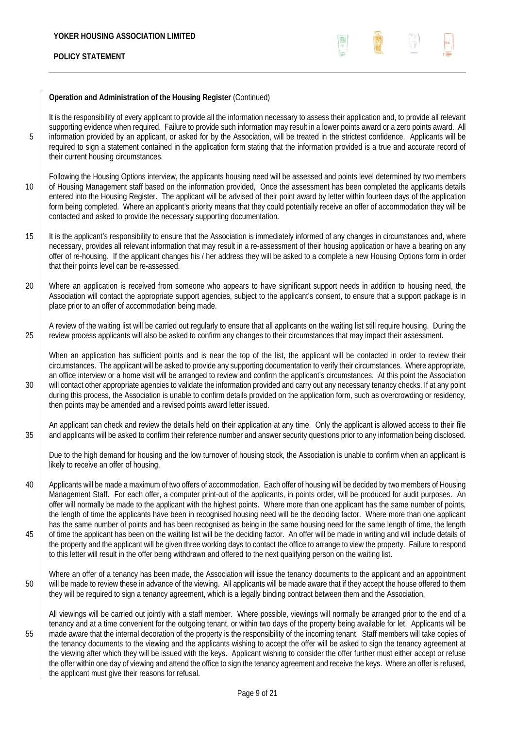

## **Operation and Administration of the Housing Register** (Continued)

It is the responsibility of every applicant to provide all the information necessary to assess their application and, to provide all relevant supporting evidence when required. Failure to provide such information may result in a lower points award or a zero points award. All 5 information provided by an applicant, or asked for by the Association, will be treated in the strictest confidence. Applicants will be required to sign a statement contained in the application form stating that the information provided is a true and accurate record of their current housing circumstances.

- Following the Housing Options interview, the applicants housing need will be assessed and points level determined by two members 10 of Housing Management staff based on the information provided. Once the assessment has been completed the applicants details entered into the Housing Register. The applicant will be advised of their point award by letter within fourteen days of the application form being completed. Where an applicant's priority means that they could potentially receive an offer of accommodation they will be contacted and asked to provide the necessary supporting documentation.
- 15 It is the applicant's responsibility to ensure that the Association is immediately informed of any changes in circumstances and, where necessary, provides all relevant information that may result in a re-assessment of their housing application or have a bearing on any offer of re-housing. If the applicant changes his / her address they will be asked to a complete a new Housing Options form in order that their points level can be re-assessed.
- 20 Where an application is received from someone who appears to have significant support needs in addition to housing need, the Association will contact the appropriate support agencies, subject to the applicant's consent, to ensure that a support package is in place prior to an offer of accommodation being made.

A review of the waiting list will be carried out regularly to ensure that all applicants on the waiting list still require housing. During the 25 review process applicants will also be asked to confirm any changes to their circumstances that may impact their assessment.

When an application has sufficient points and is near the top of the list, the applicant will be contacted in order to review their circumstances. The applicant will be asked to provide any supporting documentation to verify their circumstances. Where appropriate, an office interview or a home visit will be arranged to review and confirm the applicant's circumstances. At this point the Association 30 will contact other appropriate agencies to validate the information provided and carry out any necessary tenancy checks. If at any point during this process, the Association is unable to confirm details provided on the application form, such as overcrowding or residency, then points may be amended and a revised points award letter issued.

An applicant can check and review the details held on their application at any time.Only the applicant is allowed access to their file 35 and applicants will be asked to confirm their reference number and answer security questions prior to any information being disclosed.

Due to the high demand for housing and the low turnover of housing stock, the Association is unable to confirm when an applicant is likely to receive an offer of housing.

40 Applicants will be made a maximum of two offers of accommodation. Each offer of housing will be decided by two members of Housing Management Staff. For each offer, a computer print-out of the applicants, in points order, will be produced for audit purposes. An offer will normally be made to the applicant with the highest points. Where more than one applicant has the same number of points, the length of time the applicants have been in recognised housing need will be the deciding factor. Where more than one applicant has the same number of points and has been recognised as being in the same housing need for the same length of time, the length <sup>45</sup> of time the applicant has been on the waiting list will be the deciding factor. An offer will be made in writing and will include details of the property and the applicant will be given three working days to contact the office to arrange to view the property. Failure to respond to this letter will result in the offer being withdrawn and offered to the next qualifying person on the waiting list.

Where an offer of a tenancy has been made, the Association will issue the tenancy documents to the applicant and an appointment 50 will be made to review these in advance of the viewing. All applicants will be made aware that if they accept the house offered to them they will be required to sign a tenancy agreement, which is a legally binding contract between them and the Association.

All viewings will be carried out jointly with a staff member. Where possible, viewings will normally be arranged prior to the end of a tenancy and at a time convenient for the outgoing tenant, or within two days of the property being available for let. Applicants will be 55 made aware that the internal decoration of the property is the responsibility of the incoming tenant. Staff members will take copies of the tenancy documents to the viewing and the applicants wishing to accept the offer will be asked to sign the tenancy agreement at the viewing after which they will be issued with the keys. Applicant wishing to consider the offer further must either accept or refuse the offer within one day of viewing and attend the office to sign the tenancy agreement and receive the keys. Where an offer is refused, the applicant must give their reasons for refusal.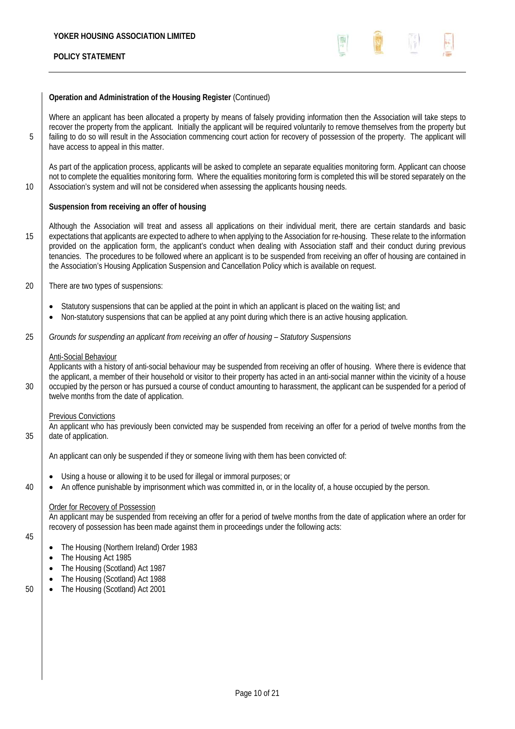

## **Operation and Administration of the Housing Register** (Continued)

Where an applicant has been allocated a property by means of falsely providing information then the Association will take steps to recover the property from the applicant. Initially the applicant will be required voluntarily to remove themselves from the property but 5 failing to do so will result in the Association commencing court action for recovery of possession of the property. The applicant will have access to appeal in this matter.

As part of the application process, applicants will be asked to complete an separate equalities monitoring form. Applicant can choose not to complete the equalities monitoring form. Where the equalities monitoring form is completed this will be stored separately on the 10 Association's system and will not be considered when assessing the applicants housing needs.

### **Suspension from receiving an offer of housing**

Although the Association will treat and assess all applications on their individual merit, there are certain standards and basic 15 expectations that applicants are expected to adhere to when applying to the Association for re-housing. These relate to the information provided on the application form, the applicant's conduct when dealing with Association staff and their conduct during previous tenancies. The procedures to be followed where an applicant is to be suspended from receiving an offer of housing are contained in the Association's Housing Application Suspension and Cancellation Policy which is available on request.

- 20 There are two types of suspensions:
	- Statutory suspensions that can be applied at the point in which an applicant is placed on the waiting list; and
	- Non-statutory suspensions that can be applied at any point during which there is an active housing application.
- 25 *Grounds for suspending an applicant from receiving an offer of housing Statutory Suspensions*

#### Anti-Social Behaviour

Applicants with a history of anti-social behaviour may be suspended from receiving an offer of housing. Where there is evidence that the applicant, a member of their household or visitor to their property has acted in an anti-social manner within the vicinity of a house 30 ccupied by the person or has pursued a course of conduct amounting to harassment, the applicant can be suspended for a period of twelve months from the date of application.

#### Previous Convictions

An applicant who has previously been convicted may be suspended from receiving an offer for a period of twelve months from the 35 date of application.

An applicant can only be suspended if they or someone living with them has been convicted of:

- Using a house or allowing it to be used for illegal or immoral purposes; or
- 40 **•** An offence punishable by imprisonment which was committed in, or in the locality of, a house occupied by the person.

#### Order for Recovery of Possession

An applicant may be suspended from receiving an offer for a period of twelve months from the date of application where an order for recovery of possession has been made against them in proceedings under the following acts:

- 45
- The Housing (Northern Ireland) Order 1983
- The Housing Act 1985
- The Housing (Scotland) Act 1987
- The Housing (Scotland) Act 1988
- 50 The Housing (Scotland) Act 2001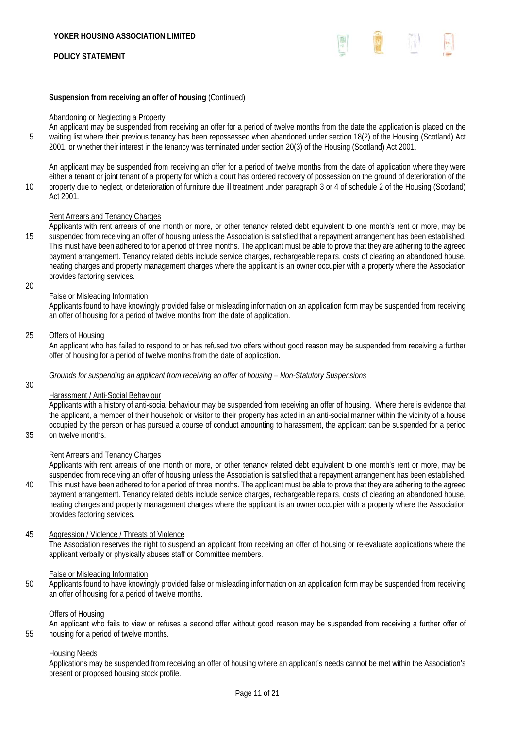**Suspension from receiving an offer of housing** (Continued)

#### Abandoning or Neglecting a Property

An applicant may be suspended from receiving an offer for a period of twelve months from the date the application is placed on the 5 waiting list where their previous tenancy has been repossessed when abandoned under section 18(2) of the Housing (Scotland) Act 2001, or whether their interest in the tenancy was terminated under section 20(3) of the Housing (Scotland) Act 2001.

An applicant may be suspended from receiving an offer for a period of twelve months from the date of application where they were either a tenant or joint tenant of a property for which a court has ordered recovery of possession on the ground of deterioration of the 10 property due to neglect, or deterioration of furniture due ill treatment under paragraph 3 or 4 of schedule 2 of the Housing (Scotland) Act 2001.

#### Rent Arrears and Tenancy Charges

Applicants with rent arrears of one month or more, or other tenancy related debt equivalent to one month's rent or more, may be 15 Suspended from receiving an offer of housing unless the Association is satisfied that a repayment arrangement has been established. This must have been adhered to for a period of three months. The applicant must be able to prove that they are adhering to the agreed payment arrangement. Tenancy related debts include service charges, rechargeable repairs, costs of clearing an abandoned house, heating charges and property management charges where the applicant is an owner occupier with a property where the Association provides factoring services. 20

### False or Misleading Information

Applicants found to have knowingly provided false or misleading information on an application form may be suspended from receiving an offer of housing for a period of twelve months from the date of application.

#### 25 Offers of Housing

An applicant who has failed to respond to or has refused two offers without good reason may be suspended from receiving a further offer of housing for a period of twelve months from the date of application.

#### *Grounds for suspending an applicant from receiving an offer of housing – Non-Statutory Suspensions*

# 30

### Harassment / Anti-Social Behaviour

Applicants with a history of anti-social behaviour may be suspended from receiving an offer of housing. Where there is evidence that the applicant, a member of their household or visitor to their property has acted in an anti-social manner within the vicinity of a house occupied by the person or has pursued a course of conduct amounting to harassment, the applicant can be suspended for a period 35 on twelve months.

### Rent Arrears and Tenancy Charges

Applicants with rent arrears of one month or more, or other tenancy related debt equivalent to one month's rent or more, may be suspended from receiving an offer of housing unless the Association is satisfied that a repayment arrangement has been established. 40 This must have been adhered to for a period of three months. The applicant must be able to prove that they are adhering to the agreed payment arrangement. Tenancy related debts include service charges, rechargeable repairs, costs of clearing an abandoned house, heating charges and property management charges where the applicant is an owner occupier with a property where the Association provides factoring services.

### 45 Aggression / Violence / Threats of Violence

The Association reserves the right to suspend an applicant from receiving an offer of housing or re-evaluate applications where the applicant verbally or physically abuses staff or Committee members.

#### False or Misleading Information

50 Applicants found to have knowingly provided false or misleading information on an application form may be suspended from receiving an offer of housing for a period of twelve months.

#### Offers of Housing

An applicant who fails to view or refuses a second offer without good reason may be suspended from receiving a further offer of 55 housing for a period of twelve months.

#### Housing Needs

Applications may be suspended from receiving an offer of housing where an applicant's needs cannot be met within the Association's present or proposed housing stock profile.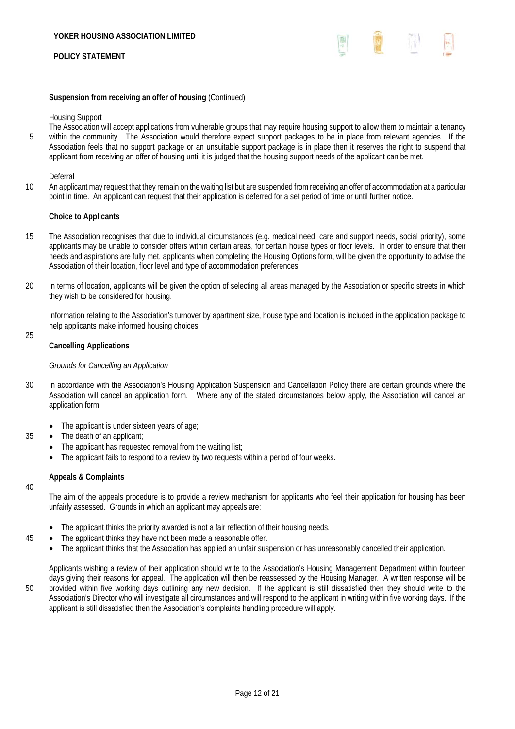

### **Suspension from receiving an offer of housing** (Continued)

Housing Support

The Association will accept applications from vulnerable groups that may require housing support to allow them to maintain a tenancy 5 within the community. The Association would therefore expect support packages to be in place from relevant agencies. If the Association feels that no support package or an unsuitable support package is in place then it reserves the right to suspend that applicant from receiving an offer of housing until it is judged that the housing support needs of the applicant can be met.

#### Deferral

10 An applicant may request that they remain on the waiting list but are suspended from receiving an offer of accommodation at a particular point in time. An applicant can request that their application is deferred for a set period of time or until further notice.

#### **Choice to Applicants**

- 15 The Association recognises that due to individual circumstances (e.g. medical need, care and support needs, social priority), some applicants may be unable to consider offers within certain areas, for certain house types or floor levels. In order to ensure that their needs and aspirations are fully met, applicants when completing the Housing Options form, will be given the opportunity to advise the Association of their location, floor level and type of accommodation preferences.
- 20 | In terms of location, applicants will be given the option of selecting all areas managed by the Association or specific streets in which they wish to be considered for housing.

Information relating to the Association's turnover by apartment size, house type and location is included in the application package to help applicants make informed housing choices.

### **Cancelling Applications**

#### *Grounds for Cancelling an Application*

- 30 In accordance with the Association's Housing Application Suspension and Cancellation Policy there are certain grounds where the Association will cancel an application form. Where any of the stated circumstances below apply, the Association will cancel an application form:
	- The applicant is under sixteen years of age:
- 35 The death of an applicant;
	- The applicant has requested removal from the waiting list;
	- The applicant fails to respond to a review by two requests within a period of four weeks.

### **Appeals & Complaints**

The aim of the appeals procedure is to provide a review mechanism for applicants who feel their application for housing has been unfairly assessed. Grounds in which an applicant may appeals are:

- The applicant thinks the priority awarded is not a fair reflection of their housing needs.
- 45 **•** The applicant thinks they have not been made a reasonable offer.
	- The applicant thinks that the Association has applied an unfair suspension or has unreasonably cancelled their application.

40

25

Applicants wishing a review of their application should write to the Association's Housing Management Department within fourteen days giving their reasons for appeal. The application will then be reassessed by the Housing Manager. A written response will be 50 provided within five working days outlining any new decision. If the applicant is still dissatisfied then they should write to the Association's Director who will investigate all circumstances and will respond to the applicant in writing within five working days. If the applicant is still dissatisfied then the Association's complaints handling procedure will apply.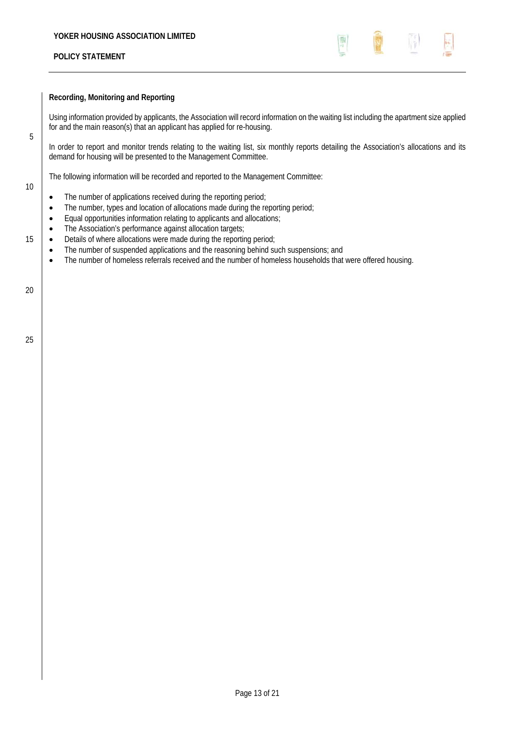

### **Recording, Monitoring and Reporting**

Using information provided by applicants, the Association will record information on the waiting list including the apartment size applied for and the main reason(s) that an applicant has applied for re-housing.

In order to report and monitor trends relating to the waiting list, six monthly reports detailing the Association's allocations and its demand for housing will be presented to the Management Committee.

The following information will be recorded and reported to the Management Committee:

- The number of applications received during the reporting period;
- The number, types and location of allocations made during the reporting period;
- Equal opportunities information relating to applicants and allocations;
- The Association's performance against allocation targets;
- 15 **.** Details of where allocations were made during the reporting period;
	- The number of suspended applications and the reasoning behind such suspensions; and
	- The number of homeless referrals received and the number of homeless households that were offered housing.

20

5

10

25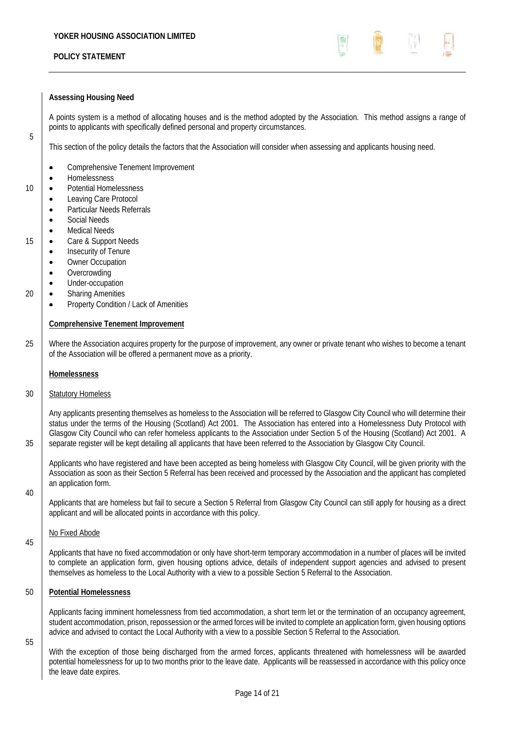

#### **Assessing Housing Need**

A points system is a method of allocating houses and is the method adopted by the Association. This method assigns a range of points to applicants with specifically defined personal and property circumstances.

This section of the policy details the factors that the Association will consider when assessing and applicants housing need.

- Comprehensive Tenement Improvement
- **Homelessness**

5

- 10 **•** Potential Homelessness
	- Leaving Care Protocol
	- Particular Needs Referrals
	- Social Needs
	- Medical Needs
- 15 **.** Care & Support Needs
	- Insecurity of Tenure
	- Owner Occupation
	- **Overcrowding**
	- Under-occupation
- 20 **.** Sharing Amenities
	- Property Condition / Lack of Amenities

#### **Comprehensive Tenement Improvement**

25 Where the Association acquires property for the purpose of improvement, any owner or private tenant who wishes to become a tenant of the Association will be offered a permanent move as a priority.

#### **Homelessness**

#### 30 Statutory Homeless

Any applicants presenting themselves as homeless to the Association will be referred to Glasgow City Council who will determine their status under the terms of the Housing (Scotland) Act 2001. The Association has entered into a Homelessness Duty Protocol with Glasgow City Council who can refer homeless applicants to the Association under Section 5 of the Housing (Scotland) Act 2001. A 35 separate register will be kept detailing all applicants that have been referred to the Association by Glasgow City Council.

Applicants who have registered and have been accepted as being homeless with Glasgow City Council, will be given priority with the Association as soon as their Section 5 Referral has been received and processed by the Association and the applicant has completed an application form.

40

45

Applicants that are homeless but fail to secure a Section 5 Referral from Glasgow City Council can still apply for housing as a direct applicant and will be allocated points in accordance with this policy.

#### No Fixed Abode

Applicants that have no fixed accommodation or only have short-term temporary accommodation in a number of places will be invited to complete an application form, given housing options advice, details of independent support agencies and advised to present themselves as homeless to the Local Authority with a view to a possible Section 5 Referral to the Association.

#### 50 **Potential Homelessness**

Applicants facing imminent homelessness from tied accommodation, a short term let or the termination of an occupancy agreement, student accommodation, prison, repossession or the armed forces will be invited to complete an application form, given housing options advice and advised to contact the Local Authority with a view to a possible Section 5 Referral to the Association.

55

With the exception of those being discharged from the armed forces, applicants threatened with homelessness will be awarded potential homelessness for up to two months prior to the leave date. Applicants will be reassessed in accordance with this policy once the leave date expires.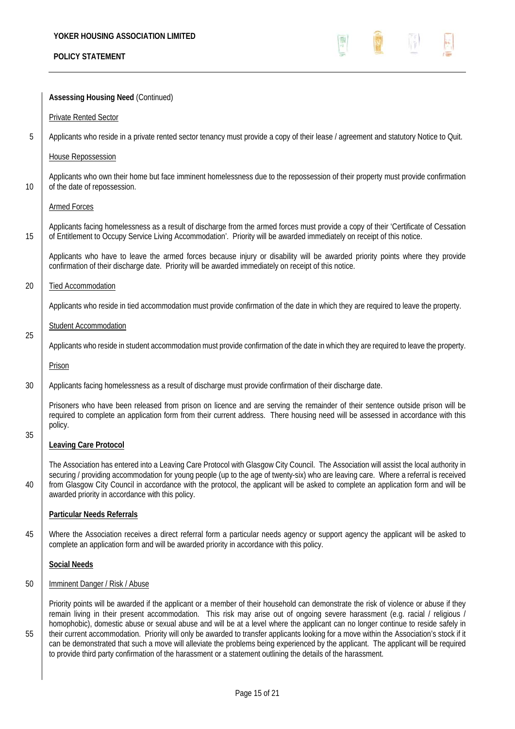

|                                    | <b>Assessing Housing Need (Continued)</b>                                                                                                                                                                                                                                                                                                                                                                                                                                                                                                                                                                                                                                                                                                                                                                        |
|------------------------------------|------------------------------------------------------------------------------------------------------------------------------------------------------------------------------------------------------------------------------------------------------------------------------------------------------------------------------------------------------------------------------------------------------------------------------------------------------------------------------------------------------------------------------------------------------------------------------------------------------------------------------------------------------------------------------------------------------------------------------------------------------------------------------------------------------------------|
|                                    | <b>Private Rented Sector</b>                                                                                                                                                                                                                                                                                                                                                                                                                                                                                                                                                                                                                                                                                                                                                                                     |
| 5                                  | Applicants who reside in a private rented sector tenancy must provide a copy of their lease / agreement and statutory Notice to Quit.                                                                                                                                                                                                                                                                                                                                                                                                                                                                                                                                                                                                                                                                            |
|                                    | <b>House Repossession</b>                                                                                                                                                                                                                                                                                                                                                                                                                                                                                                                                                                                                                                                                                                                                                                                        |
| 10                                 | Applicants who own their home but face imminent homelessness due to the repossession of their property must provide confirmation<br>of the date of repossession.                                                                                                                                                                                                                                                                                                                                                                                                                                                                                                                                                                                                                                                 |
|                                    | <b>Armed Forces</b>                                                                                                                                                                                                                                                                                                                                                                                                                                                                                                                                                                                                                                                                                                                                                                                              |
| 15                                 | Applicants facing homelessness as a result of discharge from the armed forces must provide a copy of their 'Certificate of Cessation<br>of Entitlement to Occupy Service Living Accommodation'. Priority will be awarded immediately on receipt of this notice.                                                                                                                                                                                                                                                                                                                                                                                                                                                                                                                                                  |
|                                    | Applicants who have to leave the armed forces because injury or disability will be awarded priority points where they provide<br>confirmation of their discharge date. Priority will be awarded immediately on receipt of this notice.                                                                                                                                                                                                                                                                                                                                                                                                                                                                                                                                                                           |
| 20                                 | <b>Tied Accommodation</b>                                                                                                                                                                                                                                                                                                                                                                                                                                                                                                                                                                                                                                                                                                                                                                                        |
|                                    | Applicants who reside in tied accommodation must provide confirmation of the date in which they are required to leave the property.                                                                                                                                                                                                                                                                                                                                                                                                                                                                                                                                                                                                                                                                              |
|                                    | <b>Student Accommodation</b>                                                                                                                                                                                                                                                                                                                                                                                                                                                                                                                                                                                                                                                                                                                                                                                     |
| 25                                 | Applicants who reside in student accommodation must provide confirmation of the date in which they are required to leave the property.                                                                                                                                                                                                                                                                                                                                                                                                                                                                                                                                                                                                                                                                           |
|                                    | Prison                                                                                                                                                                                                                                                                                                                                                                                                                                                                                                                                                                                                                                                                                                                                                                                                           |
| 30                                 | Applicants facing homelessness as a result of discharge must provide confirmation of their discharge date.                                                                                                                                                                                                                                                                                                                                                                                                                                                                                                                                                                                                                                                                                                       |
|                                    | Prisoners who have been released from prison on licence and are serving the remainder of their sentence outside prison will be<br>required to complete an application form from their current address. There housing need will be assessed in accordance with this<br>policy.                                                                                                                                                                                                                                                                                                                                                                                                                                                                                                                                    |
| 35<br><b>Leaving Care Protocol</b> |                                                                                                                                                                                                                                                                                                                                                                                                                                                                                                                                                                                                                                                                                                                                                                                                                  |
| 40                                 | The Association has entered into a Leaving Care Protocol with Glasgow City Council. The Association will assist the local authority in<br>securing / providing accommodation for young people (up to the age of twenty-six) who are leaving care. Where a referral is received<br>from Glasgow City Council in accordance with the protocol, the applicant will be asked to complete an application form and will be<br>awarded priority in accordance with this policy.                                                                                                                                                                                                                                                                                                                                         |
|                                    | <b>Particular Needs Referrals</b>                                                                                                                                                                                                                                                                                                                                                                                                                                                                                                                                                                                                                                                                                                                                                                                |
| 45                                 | Where the Association receives a direct referral form a particular needs agency or support agency the applicant will be asked to<br>complete an application form and will be awarded priority in accordance with this policy.                                                                                                                                                                                                                                                                                                                                                                                                                                                                                                                                                                                    |
|                                    | <b>Social Needs</b>                                                                                                                                                                                                                                                                                                                                                                                                                                                                                                                                                                                                                                                                                                                                                                                              |
| 50                                 | Imminent Danger / Risk / Abuse                                                                                                                                                                                                                                                                                                                                                                                                                                                                                                                                                                                                                                                                                                                                                                                   |
| 55                                 | Priority points will be awarded if the applicant or a member of their household can demonstrate the risk of violence or abuse if they<br>remain living in their present accommodation. This risk may arise out of ongoing severe harassment (e.g. racial / religious /<br>homophobic), domestic abuse or sexual abuse and will be at a level where the applicant can no longer continue to reside safely in<br>their current accommodation. Priority will only be awarded to transfer applicants looking for a move within the Association's stock if it<br>can be demonstrated that such a move will alleviate the problems being experienced by the applicant. The applicant will be required<br>to provide third party confirmation of the harassment or a statement outlining the details of the harassment. |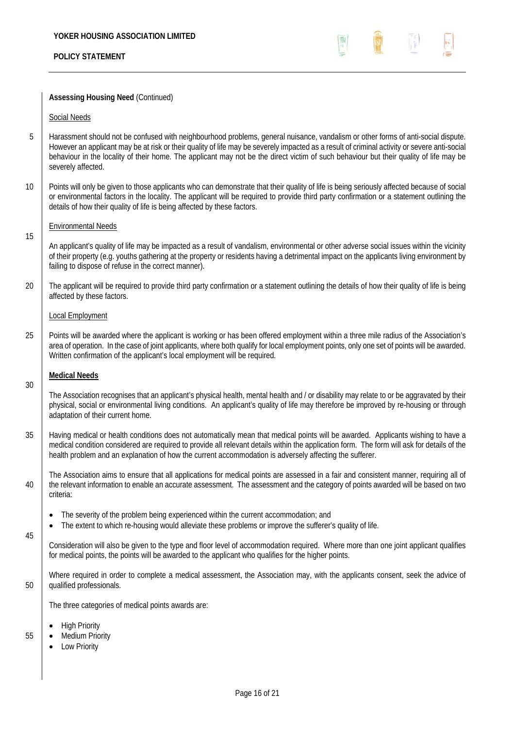

### **Assessing Housing Need** (Continued)

#### Social Needs

- 5 Harassment should not be confused with neighbourhood problems, general nuisance, vandalism or other forms of anti-social dispute. However an applicant may be at risk or their quality of life may be severely impacted as a result of criminal activity or severe anti-social behaviour in the locality of their home. The applicant may not be the direct victim of such behaviour but their quality of life may be severely affected.
- 10 Points will only be given to those applicants who can demonstrate that their quality of life is being seriously affected because of social or environmental factors in the locality. The applicant will be required to provide third party confirmation or a statement outlining the details of how their quality of life is being affected by these factors.

#### Environmental Needs

An applicant's quality of life may be impacted as a result of vandalism, environmental or other adverse social issues within the vicinity of their property (e.g. youths gathering at the property or residents having a detrimental impact on the applicants living environment by failing to dispose of refuse in the correct manner).

20 The applicant will be required to provide third party confirmation or a statement outlining the details of how their quality of life is being affected by these factors.

#### Local Employment

25 | Points will be awarded where the applicant is working or has been offered employment within a three mile radius of the Association's area of operation. In the case of joint applicants, where both qualify for local employment points, only one set of points will be awarded. Written confirmation of the applicant's local employment will be required.

## **Medical Needs**

30

15

The Association recognises that an applicant's physical health, mental health and / or disability may relate to or be aggravated by their physical, social or environmental living conditions. An applicant's quality of life may therefore be improved by re-housing or through adaptation of their current home.

- 35 Having medical or health conditions does not automatically mean that medical points will be awarded. Applicants wishing to have a medical condition considered are required to provide all relevant details within the application form. The form will ask for details of the health problem and an explanation of how the current accommodation is adversely affecting the sufferer.
- The Association aims to ensure that all applications for medical points are assessed in a fair and consistent manner, requiring all of 40 the relevant information to enable an accurate assessment. The assessment and the category of points awarded will be based on two criteria:
	- The severity of the problem being experienced within the current accommodation; and
	- The extent to which re-housing would alleviate these problems or improve the sufferer's quality of life.

45

Consideration will also be given to the type and floor level of accommodation required. Where more than one joint applicant qualifies for medical points, the points will be awarded to the applicant who qualifies for the higher points.

Where required in order to complete a medical assessment, the Association may, with the applicants consent, seek the advice of 50 qualified professionals.

The three categories of medical points awards are:

- High Priority
- 55 Medium Priority
	- Low Priority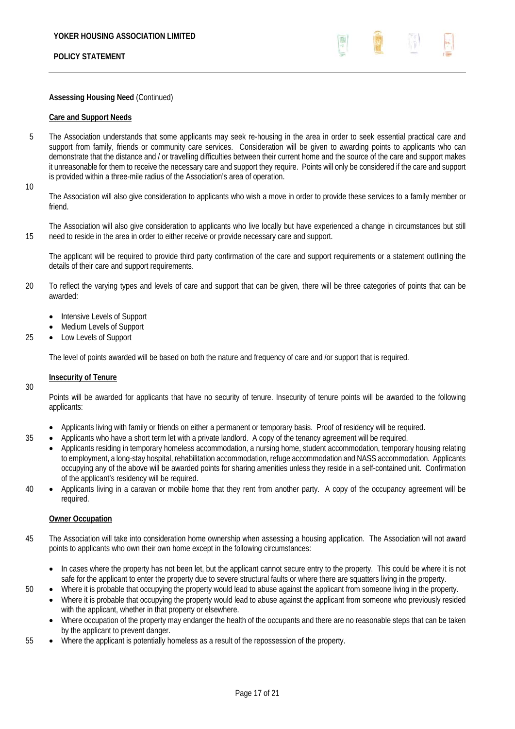

## **Assessing Housing Need** (Continued)

## **Care and Support Needs**

5 The Association understands that some applicants may seek re-housing in the area in order to seek essential practical care and support from family, friends or community care services. Consideration will be given to awarding points to applicants who can demonstrate that the distance and / or travelling difficulties between their current home and the source of the care and support makes it unreasonable for them to receive the necessary care and support they require. Points will only be considered if the care and support is provided within a three-mile radius of the Association's area of operation.

10

The Association will also give consideration to applicants who wish a move in order to provide these services to a family member or friend.

The Association will also give consideration to applicants who live locally but have experienced a change in circumstances but still 15 need to reside in the area in order to either receive or provide necessary care and support.

The applicant will be required to provide third party confirmation of the care and support requirements or a statement outlining the details of their care and support requirements.

20 To reflect the varying types and levels of care and support that can be given, there will be three categories of points that can be awarded:

- Intensive Levels of Support
- Medium Levels of Support
- 25 **.** Low Levels of Support

The level of points awarded will be based on both the nature and frequency of care and /or support that is required.

## **Insecurity of Tenure**

Points will be awarded for applicants that have no security of tenure. Insecurity of tenure points will be awarded to the following applicants:

- Applicants living with family or friends on either a permanent or temporary basis. Proof of residency will be required.
- $35$   $\bullet$  Applicants who have a short term let with a private landlord. A copy of the tenancy agreement will be required.
	- Applicants residing in temporary homeless accommodation, a nursing home, student accommodation, temporary housing relating to employment, a long-stay hospital, rehabilitation accommodation, refuge accommodation and NASS accommodation. Applicants occupying any of the above will be awarded points for sharing amenities unless they reside in a self-contained unit. Confirmation of the applicant's residency will be required.
- 40 **•** Applicants living in a caravan or mobile home that they rent from another party. A copy of the occupancy agreement will be required.

## **Owner Occupation**

- 45 The Association will take into consideration home ownership when assessing a housing application. The Association will not award points to applicants who own their own home except in the following circumstances:
	- In cases where the property has not been let, but the applicant cannot secure entry to the property. This could be where it is not safe for the applicant to enter the property due to severe structural faults or where there are squatters living in the property.
- 

30

50  $\bullet$  Where it is probable that occupying the property would lead to abuse against the applicant from someone living in the property. Where it is probable that occupying the property would lead to abuse against the applicant from someone who previously resided with the applicant, whether in that property or elsewhere.

- Where occupation of the property may endanger the health of the occupants and there are no reasonable steps that can be taken by the applicant to prevent danger.
- 55 Where the applicant is potentially homeless as a result of the repossession of the property.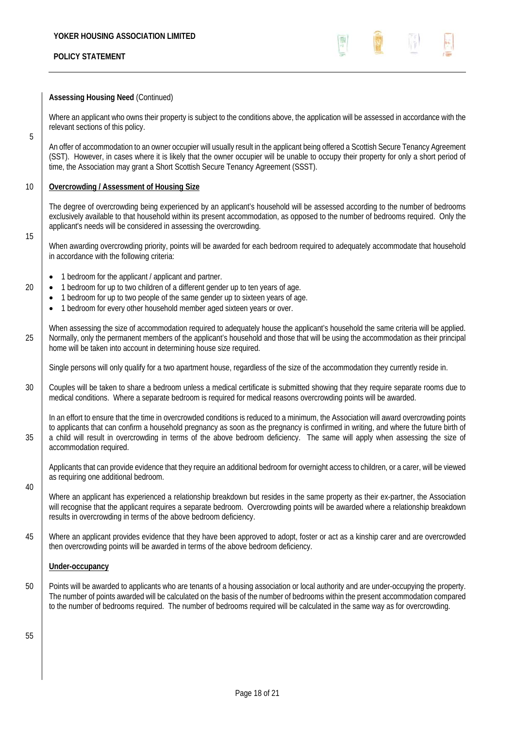

## **Assessing Housing Need** (Continued)

Where an applicant who owns their property is subject to the conditions above, the application will be assessed in accordance with the relevant sections of this policy.

An offer of accommodation to an owner occupier will usually result in the applicant being offered a Scottish Secure Tenancy Agreement (SST). However, in cases where it is likely that the owner occupier will be unable to occupy their property for only a short period of time, the Association may grant a Short Scottish Secure Tenancy Agreement (SSST).

## 10 **Overcrowding / Assessment of Housing Size**

The degree of overcrowding being experienced by an applicant's household will be assessed according to the number of bedrooms exclusively available to that household within its present accommodation, as opposed to the number of bedrooms required. Only the applicant's needs will be considered in assessing the overcrowding.

15

5

When awarding overcrowding priority, points will be awarded for each bedroom required to adequately accommodate that household in accordance with the following criteria:

- 1 bedroom for the applicant / applicant and partner.
- $20$   $\bullet$  1 bedroom for up to two children of a different gender up to ten years of age.
	- 1 bedroom for up to two people of the same gender up to sixteen years of age.
		- 1 bedroom for every other household member aged sixteen years or over.

When assessing the size of accommodation required to adequately house the applicant's household the same criteria will be applied. 25 Normally, only the permanent members of the applicant's household and those that will be using the accommodation as their principal home will be taken into account in determining house size required.

Single persons will only qualify for a two apartment house, regardless of the size of the accommodation they currently reside in.

30 Couples will be taken to share a bedroom unless a medical certificate is submitted showing that they require separate rooms due to medical conditions. Where a separate bedroom is required for medical reasons overcrowding points will be awarded.

In an effort to ensure that the time in overcrowded conditions is reduced to a minimum, the Association will award overcrowding points to applicants that can confirm a household pregnancy as soon as the pregnancy is confirmed in writing, and where the future birth of 35 a child will result in overcrowding in terms of the above bedroom deficiency. The same will apply when assessing the size of accommodation required.

Applicants that can provide evidence that they require an additional bedroom for overnight access to children, or a carer, will be viewed as requiring one additional bedroom.

Where an applicant has experienced a relationship breakdown but resides in the same property as their ex-partner, the Association will recognise that the applicant requires a separate bedroom. Overcrowding points will be awarded where a relationship breakdown results in overcrowding in terms of the above bedroom deficiency.

45 Where an applicant provides evidence that they have been approved to adopt, foster or act as a kinship carer and are overcrowded then overcrowding points will be awarded in terms of the above bedroom deficiency.

## **Under-occupancy**

50 Points will be awarded to applicants who are tenants of a housing association or local authority and are under-occupying the property. The number of points awarded will be calculated on the basis of the number of bedrooms within the present accommodation compared to the number of bedrooms required. The number of bedrooms required will be calculated in the same way as for overcrowding.

55

40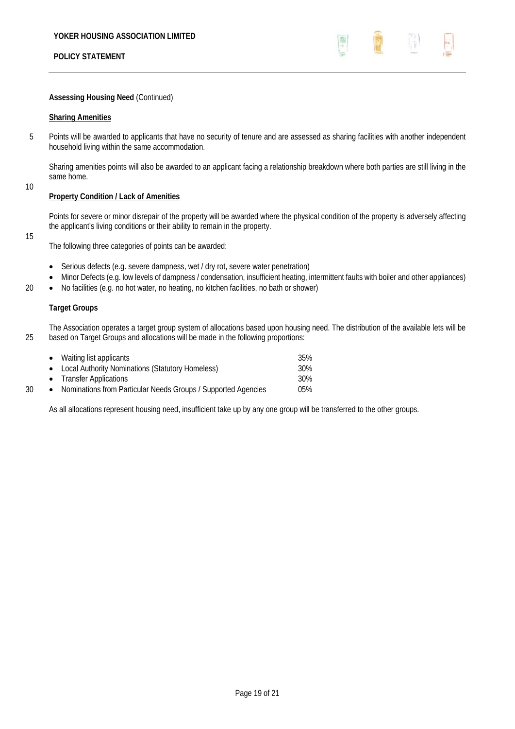

**Assessing Housing Need** (Continued)

### **Sharing Amenities**

5 Points will be awarded to applicants that have no security of tenure and are assessed as sharing facilities with another independent household living within the same accommodation.

Sharing amenities points will also be awarded to an applicant facing a relationship breakdown where both parties are still living in the same home.

## **Property Condition / Lack of Amenities**

Points for severe or minor disrepair of the property will be awarded where the physical condition of the property is adversely affecting the applicant's living conditions or their ability to remain in the property.

15

10

The following three categories of points can be awarded:

- Serious defects (e.g. severe dampness, wet / dry rot, severe water penetration)
- Minor Defects (e.g. low levels of dampness / condensation, insufficient heating, intermittent faults with boiler and other appliances)
- 20  $\Box$   $\bullet$  No facilities (e.g. no hot water, no heating, no kitchen facilities, no bath or shower)

## **Target Groups**

The Association operates a target group system of allocations based upon housing need. The distribution of the available lets will be 25 based on Target Groups and allocations will be made in the following proportions:

|    | • Waiting list applicants                                                  | 35% |
|----|----------------------------------------------------------------------------|-----|
|    | • Local Authority Nominations (Statutory Homeless)                         | 30% |
|    | • Transfer Applications                                                    | 30% |
| 30 | Nominations from Particular Needs Groups / Supported Agencies<br>$\bullet$ | 05% |
|    |                                                                            |     |

As all allocations represent housing need, insufficient take up by any one group will be transferred to the other groups.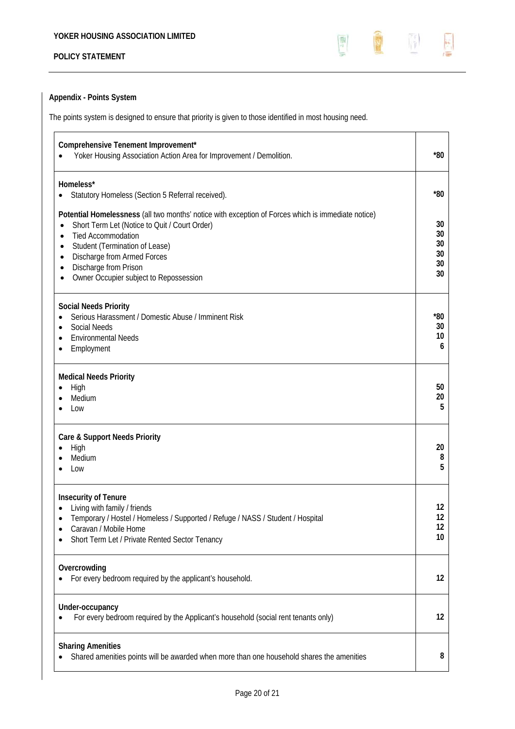

# **Appendix - Points System**

The points system is designed to ensure that priority is given to those identified in most housing need.

| Comprehensive Tenement Improvement*<br>Yoker Housing Association Action Area for Improvement / Demolition.                                                                                                                                                                                                                                                            | $*80$                             |
|-----------------------------------------------------------------------------------------------------------------------------------------------------------------------------------------------------------------------------------------------------------------------------------------------------------------------------------------------------------------------|-----------------------------------|
| Homeless*<br>Statutory Homeless (Section 5 Referral received).<br>$\bullet$                                                                                                                                                                                                                                                                                           | $*80$                             |
| Potential Homelessness (all two months' notice with exception of Forces which is immediate notice)<br>Short Term Let (Notice to Quit / Court Order)<br>$\bullet$<br><b>Tied Accommodation</b><br>$\bullet$<br>Student (Termination of Lease)<br>$\bullet$<br>Discharge from Armed Forces<br>٠<br>Discharge from Prison<br>٠<br>Owner Occupier subject to Repossession | 30<br>30<br>30<br>30<br>30<br>30  |
| <b>Social Needs Priority</b><br>Serious Harassment / Domestic Abuse / Imminent Risk<br><b>Social Needs</b><br><b>Environmental Needs</b><br>$\bullet$<br>Employment                                                                                                                                                                                                   | *80<br>30<br>10<br>6              |
| <b>Medical Needs Priority</b><br>High<br>٠<br>Medium<br>Low                                                                                                                                                                                                                                                                                                           | 50<br>20<br>5                     |
| Care & Support Needs Priority<br>High<br>Medium<br>Low                                                                                                                                                                                                                                                                                                                | 20<br>8<br>5                      |
| <b>Insecurity of Tenure</b><br>Living with family / friends<br>Temporary / Hostel / Homeless / Supported / Refuge / NASS / Student / Hospital<br>Caravan / Mobile Home<br>Short Term Let / Private Rented Sector Tenancy                                                                                                                                              | 12<br>12<br>12<br>10 <sup>°</sup> |
| Overcrowding<br>For every bedroom required by the applicant's household.                                                                                                                                                                                                                                                                                              | 12                                |
| Under-occupancy<br>For every bedroom required by the Applicant's household (social rent tenants only)                                                                                                                                                                                                                                                                 | 12                                |
| <b>Sharing Amenities</b><br>Shared amenities points will be awarded when more than one household shares the amenities                                                                                                                                                                                                                                                 | 8                                 |